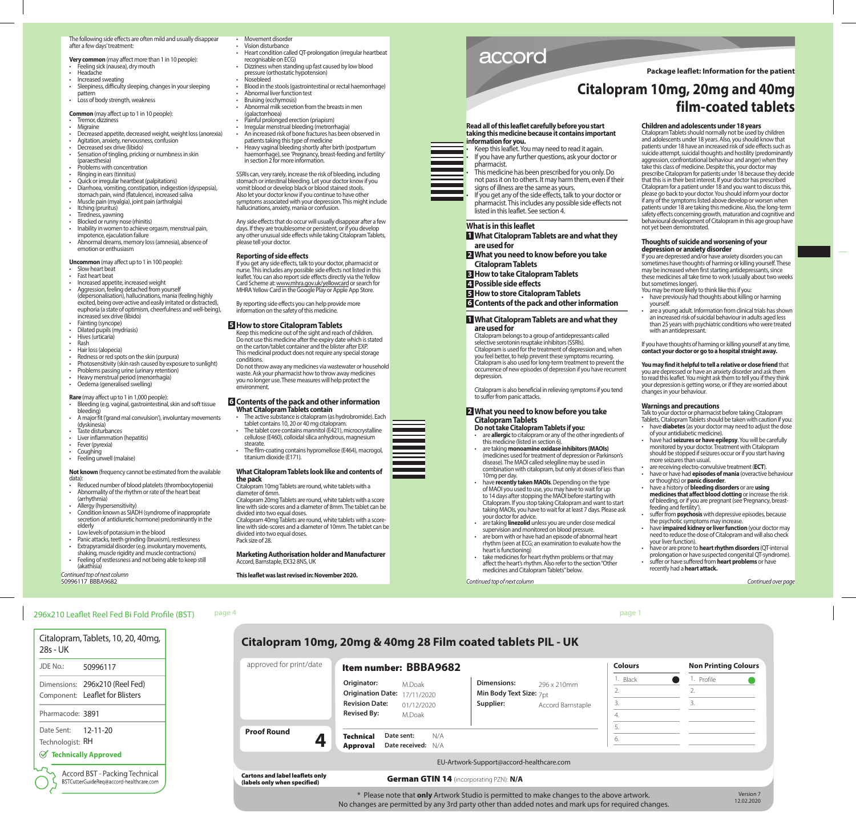The following side effects are often mild and usually disappear after a few days' treatment:

**Very common** (may affect more than 1 in 10 people):

- Feeling sick (nausea), dry mouth • Headache
- Increased sweating
- Sleepiness, difficulty sleeping, changes in your sleeping pattern
- Loss of body strength, weakness

**Common** (may affect up to 1 in 10 people):

- Tremor dizziness
- Migraine
- Decreased appetite, decreased weight, weight loss (anorexia)
- Agitation, anxiety, nervousness, confusion
- Decreased sex drive (libido)
- Sensation of tingling, pricking or numbness in skin (paraesthesia)
- Problems with concentration
- Ringing in ears (tinnitus)
- Quick or irregular heartbeat (palpitations)<br>• Diarrhoea vomiting constination indiges • Diarrhoea, vomiting, constipation, indigestion (dyspepsia), stomach pain, wind (flatulence), increased saliva
- Muscle pain (myalgia), joint pain (arthralgia)
- Itching (pruritus)
- Tiredness, yawning
- Blocked or runny nose (rhinitis)
- Inability in women to achieve orgasm, menstrual pain, impotence, ejaculation failure
- Abnormal dreams, memory loss (amnesia), absence of emotion or enthusiasm

**Uncommon** (may affect up to 1 in 100 people):

- Slow heart beat
- Fast heart beat
- Increased appetite, increased weight • Aggression, feeling detached from yourself (depersonalisation), hallucinations, mania (feeling highly excited, being over-active and easily irritated or distracted), euphoria (a state of optimism, cheerfulness and well-being), increased sex drive (libido)
- Fainting (syncope)
- Dilated pupils (mydriasis)<br>• Hives (urticaria)
- Hives (urticaria) • Rash
- Hair loss (alopecia)
- Redness or red spots on the skin (purpura)
- Photosensitivity (skin rash caused by exposure to sunlight)
- Problems passing urine (urinary retention)
- Heavy menstrual period (menorrhagia)
- Oedema (generalised swelling)

## **Rare** (may affect up to 1 in 1,000 people):

- Bleeding (e.g. vaginal, gastrointestinal, skin and soft tissue bleeding)
- A major fit ('grand mal convulsion'), involuntary movements (dyskinesia)
- Taste disturbances
- Liver inflammation (hepatitis)
- Fever (pyrexia)
- Coughing
- Feeling unwell (malaise)

**Not known** (frequency cannot be estimated from the available data):

- Reduced number of blood platelets (thrombocytopenia) • Abnormality of the rhythm or rate of the heart beat (arrhythmia)
- Allergy (hypersensitivity)
- Condition known as SIADH (syndrome of inappropriate secretion of antidiuretic hormone) predominantly in the elderly
- Low levels of potassium in the blood
- Panic attacks, teeth grinding (bruxism), restlessness
- Extrapyramidal disorder (e.g. involuntary movements,
- shaking, muscle rigidity and muscle contractions) Feeling of restlessness and not being able to keep still (akathisia)

50996117 BBBA9682 *Continued top of next column*

- Movement disorder • Vision disturbance
	- Heart condition called QT-prolongation (irregular heartbeat recognisable on ECG)
	- Dizziness when standing up fast caused by low blood pressure (orthostatic hypotension) • Nosebleed
	- Blood in the stools (gastrointestinal or rectal haemorrhage)
- Abnormal liver function test
- Bruising (ecchymosis)
- Abnormal milk secretion from the breasts in men (galactorrhoea)
- Painful prolonged erection (priapism)
- Irregular menstrual bleeding (metrorrhagia)
- An increased risk of bone fractures has been observed in patients taking this type of medicine
- Heavy vaginal bleeding shortly after birth (postpartum haemorrhage), see 'Pregnancy, breast-feeding and fertility' in section 2 for more information.

SSRIs can, very rarely, increase the risk of bleeding, including stomach or intestinal bleeding. Let your doctor know if you vomit blood or develop black or blood stained stools. Also let your doctor know if you continue to have other symptoms associated with your depression. This might include hallucinations, anxiety, mania or confusion.

Any side effects that do occur will usually disappear after a few days. If they are troublesome or persistent, or if you develop any other unusual side effects while taking Citalopram Tablets, please tell your doctor.

## **Reporting of side effects**

If you get any side effects, talk to your doctor, pharmacist or nurse. This includes any possible side effects not listed in this leaflet. You can also report side effects directly via the Yellow Card Scheme at: www.mhra.gov.uk/yellowcard or search for MHRA Yellow Card in the Google Play or Apple App Store.

By reporting side effects you can help provide more information on the safety of this medicine.

#### **5 How to store Citalopram Tablets**

Keep this medicine out of the sight and reach of children. Do not use this medicine after the expiry date which is stated on the carton/tablet container and the blister after EXP. This medicinal product does not require any special storage conditions.

Do not throw away any medicines via wastewater or household waste. Ask your pharmacist how to throw away medicines you no longer use. These measures will help protect the environment.

# **6 Contents of the pack and other information What Citalopram Tablets contain**<br>**•** The active substance is citalopram (as

- The active substance is citalopram (as hydrobromide). Each tablet contains 10, 20 or 40 mg citalopram.
- The tablet core contains mannitol (E421), microcrystalline cellulose (E460), colloidal silica anhydrous, magnesium stearate.
- The film-coating contains hypromellose (E464), macrogol, titanium dioxide (E171).

## **What Citalopram Tablets look like and contents of the pack**

Citalopram 10mg Tablets are round, white tablets with a diameter of 6mm. Citalopram 20mg Tablets are round, white tablets with a score line with side-scores and a diameter of 8mm. The tablet can be divided into two equal doses.

Citalopram 40mg Tablets are round, white tablets with a scoreline with side-scores and a diameter of 10mm. The tablet can be divided into two equal doses.

# Pack size of 28.

#### **Marketing Authorisation holder and Manufacturer**  Accord, Barnstaple, EX32 8NS, UK

# **This leaflet was last revised in: November 2020.**

accord

## **Package leaflet: Information for the patient**

# **Citalopram 10mg, 20mg and 40mg film-coated tablets**

not yet been demonstrated.

but sometimes longer).

with an antidepressant.

changes in your behaviour. **Warnings and precautions**

of your antidiabetic medicine).

or thoughts) or **panic disorder**.

the psychotic symptoms may increase.

more seizures than usual.

feeding and fertility').

your liver function).

*Continued top of next column Continued over page*

recently had a **heart attack.**

yourself.

**Children and adolescents under 18 years** Citalopram Tablets should normally not be used by children and adolescents under 18 years. Also, you should know that patients under 18 have an increased risk of side effects such as suicide attempt, suicidal thoughts and hostility (predominantly aggression, confrontational behaviour and anger) when they take this class of medicine. Despite this, your doctor may prescribe Citalopram for patients under 18 because they decide that this is in their best interest. If your doctor has prescribed Citalopram for a patient under 18 and you want to discuss this, please go back to your doctor. You should inform your doctor if any of the symptoms listed above develop or worsen when patients under 18 are taking this medicine. Also, the long-term safety effects concerning growth, maturation and cognitive and behavioural development of Citalopram in this age group have

**Thoughts of suicide and worsening of your depression or anxiety disorder**

You may be more likely to think like this if you: • have previously had thoughts about killing or harming

If you are depressed and/or have anxiety disorders you can sometimes have thoughts of harming or killing yourself. These may be increased when first starting antidepressants, since these medicines all take time to work (usually about two weeks

are a young adult. Information from clinical trials has shown an increased risk of suicidal behaviour in adults aged less than 25 years with psychiatric conditions who were treated

If you have thoughts of harming or killing yourself at any time, **contact your doctor or go to a hospital straight away. You may find it helpful to tell a relative or close friend** that you are depressed or have an anxiety disorder and ask them to read this leaflet. You might ask them to tell you if they think your depression is getting worse, or if they are worried about

Talk to your doctor or pharmacist before taking Citalopram Tablets. Citalopram Tablets should be taken with caution if you: • have **diabetes** (as your doctor may need to adjust the dose

• have had **seizures or have epilepsy**. You will be carefully monitored by your doctor. Treatment with Citalopram should be stopped if seizures occur or if you start having

• are receiving electro-convulsive treatment (**ECT**). • have or have had **episodes of mania** (overactive behaviour

• have a history of **bleeding disorders** or are **using medicines that affect blood clotting** or increase the risk of bleeding, or if you are pregnant (see 'Pregnancy, breast-

suffer from **psychosis** with depressive episodes, because

• have **impaired kidney or liver function** (your doctor may need to reduce the dose of Citalopram and will also check

• have or are prone to **heart rhythm disorders** (QT-interval prolongation or have suspected congenital QT-syndrome). • suffer or have suffered from **heart problems** or have

**Read all of this leaflet carefully before you start taking this medicine because it contains important information for you.** 

Keep this leaflet. You may need to read it again. If you have any further questions, ask your doctor or pharmacist.

• This medicine has been prescribed for you only. Do not pass it on to others. It may harm them, even if their signs of illness are the same as yours.

If you get any of the side effects, talk to your doctor or pharmacist. This includes any possible side effects not listed in this leaflet. See section 4.

## **What is in this leaflet**

**1 What Citalopram Tablets are and what they are used for**

- **2 What you need to know before you take Citalopram Tablets**
- **3 How to take Citalopram Tablets**
- **4 Possible side effects**
- **5 How to store Citalopram Tablets**

**6 Contents of the pack and other information**

## **1 What Citalopram Tablets are and what they are used for**

Citalopram belongs to a group of antidepressants called selective serotonin reuptake inhibitors (SSRIs). Citalopram is used for the treatment of depression and, when you feel better, to help prevent these symptoms recurring. Citalopram is also used for long-term treatment to prevent the occurrence of new episodes of depression if you have recurrent depression.

Citalopram is also beneficial in relieving symptoms if you tend to suffer from panic attacks.

# **2 What you need to know before you take Citalopram Tablets**

• are taking **monoamine oxidase inhibitors (MAOIs)** (medicines used for treatment of depression or Parkinson's disease). The MAOI called selegiline may be used in combination with citalopram, but only at doses of less than

• have **recently taken MAOIs**. Depending on the type of MAOI you used to use, you may have to wait for up to 14 days after stopping the MAOI before starting with Citalopram. If you stop taking Citalopram and want to start taking MAOIs, you have to wait for at least 7 days. Please ask

• are taking **linezolid** unless you are under close medical supervision and monitored on blood pressure. are born with or have had an episode of abnormal heart rhythm (seen at ECG; an examination to evaluate how the

take medicines for heart rhythm problems or that may affect the heart's rhythm. Also refer to the section "Other medicines and Citalopram Tablets" below.

#### **Do not take Citalopram Tablets if you:**  • are **allergic** to citalopram or any of the other ingredients of this medicine (listed in section 6).

10mg per day.

your doctor for advice.

heart is functioning)